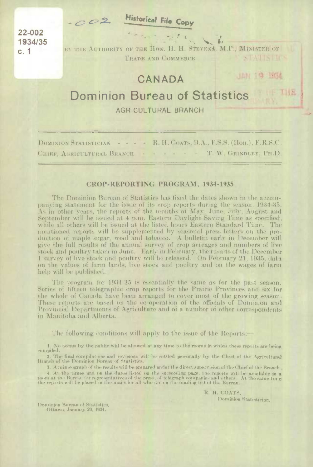$-002$ 

**Historical File Copy** 

22-002 1934/35  $c.1$ 

BY THE AUTHORITY OF THE HON. H. H. STEVENS, M.P., MINISTER OF TRADE AND COMMERCE 

## CANADA

JAN 19 1934

THE

## Dominion Bureau of Statistics

**AGRICULTURAL BRANCH** 

- - - R. H. COATS, B.A., F.S.S. (Hon.), F.R.S.C. **DOMINION STATISTICIAN** CHIEF, AGRICULTURAL BRANCH - - - - - - T. W. GRINDLEY, PH.D.

## CROP-REPORTING PROGRAM, 1934-1935

The Dominion Bureau of Statistics has fixed the dates shown in the accompanying statement for the issue of its erop reports during the season, 1934-35. As in other years, the reports of the months of May, June, July, August and September will be issued at 4 p.m. Eastern Daylight Saving Time as specified, while all others will be issued at the listed hours Eastern Standard Time. The mentioned reports will be supplemented by seasonal press letters on the production of maple sugar, wool and tobacco. A bulletin early in December will give the full results of the annual survey of crop acreages and numbers of live stock and poultry taken in June. Early in February, the results of the December 1 survey of live stock and poultry will be released. On February 21, 1935, data on the values of farm lands, live stock and poultry and on the wages of farm help will be published.

The program for 1934-35 is essentially the same as for the past season. Series of fifteen telegraphic erop reports for the Prairie Provinces and six for the whole of Canada have been arranged to cover most of the growing season. These reports are based on the co-operation of the officials of Dominion and Provincial Departments of Agriculture and of a number of other correspondents in Manitoba and Alberta.

The following conditions will apply to the issue of the Reports:-

I. No access by the public will be allowed at any time to the rooms in which these reports are being compiled.

2. The final compilations and revisions will be settled personally by the Chief of the Agricultural Branch of the Dominion Bureau of Statistics

3. A mimeograph of the results will be prepared under the direct supervision of the Chief of the Branch. 4. At the times and on the dates listed on the succeeding page, the reports will be available in a<br>room at the Bureau for representatives of the press, of telegraph companies and others. At the same time<br>the reports will b

> R. H. COATS. Dominion Statistician.

Dominion Bureau of Statistics. Ottawa, January 20, 1934.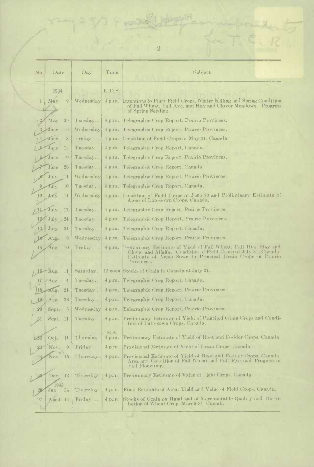|     |                             |           |                | $\boldsymbol{2}$                                                                                                                                                                                               |
|-----|-----------------------------|-----------|----------------|----------------------------------------------------------------------------------------------------------------------------------------------------------------------------------------------------------------|
| No  | Date                        | Day.      | Time           | Subject                                                                                                                                                                                                        |
|     | 1934                        |           | E.D.S.         |                                                                                                                                                                                                                |
| ı   | Máy<br>9                    | Wednesday |                | 4 p.m. Intentions to Plant Field Crops, Winter Killing and Spring Condition<br>of Fall Wheat, Fall Rye, and Hay and Clover Meadows. Progress<br>of Spring Seeding.                                             |
|     | May<br>29                   | Tuesday   |                | 4 p.m. Telegraphic Crop Report. Prairie Provinces.                                                                                                                                                             |
|     | June<br>6                   | Wednesday | 4 p.m.         | Telegraphic Crop Report, Prairie Provinces,                                                                                                                                                                    |
|     | June<br>8                   | Friday    |                | 4 p.m. Condition of Field Crops at May 31, Canada.                                                                                                                                                             |
|     | $_{\text{une}}$<br>12       | Tuesday   |                | 4 p.m. Telegraphic Crop Report, Canada.                                                                                                                                                                        |
|     | June<br>19                  | Tuesday   | 4 p.m.         | Telegraphic Crop Report, Prairie Provinces.                                                                                                                                                                    |
|     | June<br>26                  | Tuesday   |                | 4 p.m. Telegraphic Crop Report, Canada.                                                                                                                                                                        |
|     | July<br>$\frac{4}{3}$       | Wednesday |                | 4 p.m. Telegraphic Crop Report, Prairie Provinces.                                                                                                                                                             |
|     | July<br>10                  | Tuesday   |                | 4 p.m. Telegraphic Crop Report, Canada.                                                                                                                                                                        |
| ļ0  | July<br>11                  |           |                | Wednesday   4 p.m. Condition of Field Crops at June 30 and Preliminary Estimate of<br>Areas of Late-sown Crops, Canada.                                                                                        |
|     | $\tau_{\mathrm{uly}}$<br>17 | Tuesday   |                | 4 p.m. Telegraphic Crop Report, Prairie Provinces.                                                                                                                                                             |
|     | July<br>24                  | Tuesday   | 4 p.m.         | Telegraphic Crop Report, Prairie Provinces.                                                                                                                                                                    |
| 13. | July<br>31                  | Tuesday   | 4 p.m.         | l'Felegraphic Crop Report, Canada.                                                                                                                                                                             |
|     | Aug.<br>8                   | Wednesday | 4 p.m.         | Telegraphic Crop Report, Prairie Provinces.                                                                                                                                                                    |
| 15  | lug<br>10                   | Friday    | 4 p.m.         | Preliminary Estimate of Yield of Fall Wheat, Fall Rye, Hay and<br>Clover and Alfalfa. Condition of Field Crops at July 31, Canada.<br>Estimate of Areas Sown to Principal Grain Crops in Prairie<br>Provinces. |
| 18  | Aug.<br>11                  | Saturday  |                | 12 noon Stocks of Grain in Canada at July 31.                                                                                                                                                                  |
| 17  | Aug.<br>14                  | Tuesday   |                | 4 p.m. [Telegraphic Crop Report, Canada.                                                                                                                                                                       |
| 18  | 21<br>Tug.                  | Tuesday   |                | 4 p.m. Telegraphic Crop Report, Prairie Provinces.                                                                                                                                                             |
|     | Aug.<br>28                  | Tuesday   |                | 4 p.m. Telegraphic Crop Report, Canada.                                                                                                                                                                        |
| 20  | Sept.<br>$\overline{5}$     |           |                | Wednesday   4 p.m. Telegraphic Crop Report, Prairie Provinces.                                                                                                                                                 |
|     | $\varepsilon$ ept. 11       | Tuesday   |                | 4 p.m. Preliminary Estimate of Yield of Principal Grain Crops and Condi-<br>tion of Late-sown Crops, Capada.                                                                                                   |
| L22 | Oct.<br>$\mathbf{1}$        | Thursday  | E.S.<br>4 p.m. | Preliminary Estimate of Yield of Root and Fodder Crops, Canada.                                                                                                                                                |
| 23  | Nov.<br>9                   | Friday    | 4 p.m.         | Provisional Estimate of Yield of Grain Crops. Canada.                                                                                                                                                          |
|     | Nov.<br>15                  | Thursday  | 4 p.m.         | Provisional Estimate of Yield of Root and Fodder Crops, Canada.<br>Area and Condition of Fall Wheat and Fall Rye and Progress of<br>Fall Ploughing.                                                            |
| 25  | Dec.<br>13                  | Thursday  | 4 p.m.         | Preliminary Estimate of Value of Field Crops. Canada.                                                                                                                                                          |
| 26  | 1935<br>Jan.<br>24          | Thursday  | 4 p.m.         | Final Estimate of Area, Yield and Value of Field Crops, Canada.                                                                                                                                                |
| 27  | April 11                    | Friday    |                | 4 p.m. Stocks of Grain on Hand and of Merchantable Quality and Distri-<br>bution of Wheat Crop, March 31, Canada.                                                                                              |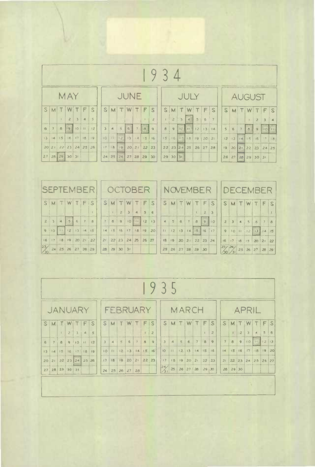|        | $\mathcal{B}$<br>9 |                                                   |              |          |              |    |                         |                                    |                |   |   |          |                 |                      |                |                                   |                |                                    |                |                         |    |                |                               |                |       |   |
|--------|--------------------|---------------------------------------------------|--------------|----------|--------------|----|-------------------------|------------------------------------|----------------|---|---|----------|-----------------|----------------------|----------------|-----------------------------------|----------------|------------------------------------|----------------|-------------------------|----|----------------|-------------------------------|----------------|-------|---|
|        |                    |                                                   | <b>MAY</b>   |          |              |    |                         | JUNE                               |                |   |   |          |                 |                      |                | JULY                              |                |                                    |                | <b>AUGUST</b>           |    |                |                               |                |       |   |
| S      | M                  |                                                   |              | WIT      | IF           | S  | S                       | M.                                 | $\mathbb{T}$   | W | T | $\oplus$ | S               |                      | $S$ M          | W                                 |                | IF                                 | S              | S                       | M  |                | W                             | T.             | IF-   | S |
|        |                    |                                                   | $\mathbf{z}$ | $\Delta$ | $\triangleq$ | 5  |                         |                                    |                |   |   |          | $\overline{z}$  |                      | 2 <sup>1</sup> | $\overline{4}$                    | $\overline{5}$ | 6                                  | $\overline{r}$ |                         |    |                |                               | $\overline{z}$ |       |   |
| 6      | $\overline{z}$     | $\theta$                                          | 91011        |          |              | 12 | $\overline{\mathbf{3}}$ | $\overline{a}$                     | $\overline{5}$ | 6 | 7 | 8        | $\mathcal{Q}$   | $\theta$             | $\overline{9}$ |                                   |                | $ 10 $ $ 11 $ $ 12 $ $ 13 $ $ 14 $ |                | $\overline{\mathbf{S}}$ | 6  | $\overline{7}$ | $\overline{a}$                | $\overline{9}$ | 10 11 |   |
| $13 -$ |                    | 14 15 16 17 18                                    |              |          |              | 19 |                         | $10$ $11$ $12$ $13$ $14$ $15$ $16$ |                |   |   |          |                 | 15 16 17 18 19 20 21 |                |                                   |                |                                    |                |                         |    |                | 12   13   14   15   16        |                | 1718  |   |
|        |                    | 20 21 22 23 24 25 26                              |              |          |              |    |                         | 17   18   19   20   21             |                |   |   | 22 23    |                 |                      |                | $22 \mid 23 \mid 24 \mid 25 \mid$ |                | $26$ $27$ $28$                     |                | 19                      |    |                | $20$ $21$ $22$ $23$ $24$ $25$ |                |       |   |
| 27     |                    | $28 \begin{bmatrix} 29 \\ 30 \end{bmatrix}$ 30 31 |              |          |              |    |                         | $24$ 25 26 27 28                   |                |   |   | 29       | 30 <sup>°</sup> |                      | 29 30 31       |                                   |                |                                    |                | 26                      | 27 |                | 20 29 30 31                   |                |       |   |

|                |      | <b>DECEMBER</b>                                                                                                                                                                                                                                                                               |  |  |  |  |  |  |  |
|----------------|------|-----------------------------------------------------------------------------------------------------------------------------------------------------------------------------------------------------------------------------------------------------------------------------------------------|--|--|--|--|--|--|--|
|                |      |                                                                                                                                                                                                                                                                                               |  |  |  |  |  |  |  |
|                |      |                                                                                                                                                                                                                                                                                               |  |  |  |  |  |  |  |
|                |      |                                                                                                                                                                                                                                                                                               |  |  |  |  |  |  |  |
|                |      |                                                                                                                                                                                                                                                                                               |  |  |  |  |  |  |  |
|                |      |                                                                                                                                                                                                                                                                                               |  |  |  |  |  |  |  |
|                |      |                                                                                                                                                                                                                                                                                               |  |  |  |  |  |  |  |
| 2 <sub>1</sub> | $-3$ | $S$ M $T$ W $T$ $F$ $S$<br>5678<br>9   10   11   12   13   14   15<br>$\left  18 \right  19 \left  20 \right  21 \left  22 \right  23 \left  24 \right $ $\left  16 \right  17 \left  18 \right  19 \left  20 \right  21 \left  22 \right $<br>$\frac{27}{10}$ $\frac{24}{11}$ 25 26 27 28 29 |  |  |  |  |  |  |  |

|                | 35<br>9        |     |                 |             |   |                         |                 |                |                   |    |                |                                        |                |                  |                                                                          |              |              |                                    |                 |                |               |          |              |                         |                     |                |              |  |  |  |
|----------------|----------------|-----|-----------------|-------------|---|-------------------------|-----------------|----------------|-------------------|----|----------------|----------------------------------------|----------------|------------------|--------------------------------------------------------------------------|--------------|--------------|------------------------------------|-----------------|----------------|---------------|----------|--------------|-------------------------|---------------------|----------------|--------------|--|--|--|
| <b>JANUARY</b> |                |     |                 |             |   |                         |                 | FEBRUARY       |                   |    |                |                                        |                |                  |                                                                          | <b>MARCH</b> |              |                                    |                 |                |               |          |              | <b>APRIL</b>            |                     |                |              |  |  |  |
| S              | M              | UT. | W               | T           | F | S                       | $\mathsf{S}$    | M              | $\mathbb{T}$      | W  |                | F                                      | S              | S                | M                                                                        | T            | W            |                                    | TF              | $\mathsf{S}$   | $\mathsf{S}$  |          | MITI         | W                       |                     | TF             | <sub>S</sub> |  |  |  |
|                |                |     | $\overline{z}$  | 314         |   | $\overline{\mathbf{S}}$ |                 |                |                   |    |                | $\mathfrak{g}$                         | $\overline{c}$ |                  |                                                                          |              |              |                                    | $\mathbf{r}$    | $\overline{z}$ |               |          | $\mathbf{2}$ | $\overline{\mathbf{3}}$ | $\boldsymbol{A}$    | $\mathfrak{s}$ | 6            |  |  |  |
| 6              | $\gamma$       | B   |                 | 9   10   11 |   | 12                      | $\mathbf{B}$    | $\mathbf{d}_i$ | 5                 | 6  | $\overline{7}$ | $\overline{a}$                         | $\mathbb{Q}$   | $\overline{3}$   | $\mathcal{A}% _{0}=\mathcal{A}_{\mathrm{CL}}^{\mathrm{CL}}(\mathcal{A})$ | 5            | $\mathbf{6}$ | $\overline{y}$                     | $\theta$        | $\ddot{ }$     | $\mathcal{F}$ | $\alpha$ | $\ddot{9}$   |                         | $10$ $H$ $12$ $13$  |                |              |  |  |  |
| 13             | l rai          | 15  | 16              | $17 - 18$   |   | 19                      | 10 <sub>1</sub> | 111            | 12                | 13 | 1415           |                                        | 16             | 10               |                                                                          |              |              | $ 11 $ $ 12 $ $ 13 $ $ 14 $ $ 15 $ |                 | 16             | $\ \cdot\ _1$ | 1516     |              |                         | 17 18 19 20         |                |              |  |  |  |
| 20 21          |                | 22  |                 | 23 24 25 26 |   |                         | 17.1            | 18             | 19                | 20 | 21             | $\begin{array}{c} \n 22\n \end{array}$ | 23             | 17               |                                                                          | 18 19 20     |              | 21                                 | 22              | 23             | 21            |          |              |                         | $22$ 23 24 25 26 27 |                |              |  |  |  |
|                | $27$ $28$ $29$ |     | 30 <sub>o</sub> | 31          |   |                         |                 |                | 24   25   25   27 |    | 28             |                                        |                | $\frac{247}{31}$ | $25\,$                                                                   |              | 26 27 28     |                                    | $29 \,   \, 30$ |                | 28            | 29 30    |              |                         |                     |                |              |  |  |  |
|                |                |     |                 |             |   |                         |                 |                |                   |    |                |                                        |                |                  |                                                                          |              |              |                                    |                 |                |               |          |              |                         |                     |                |              |  |  |  |